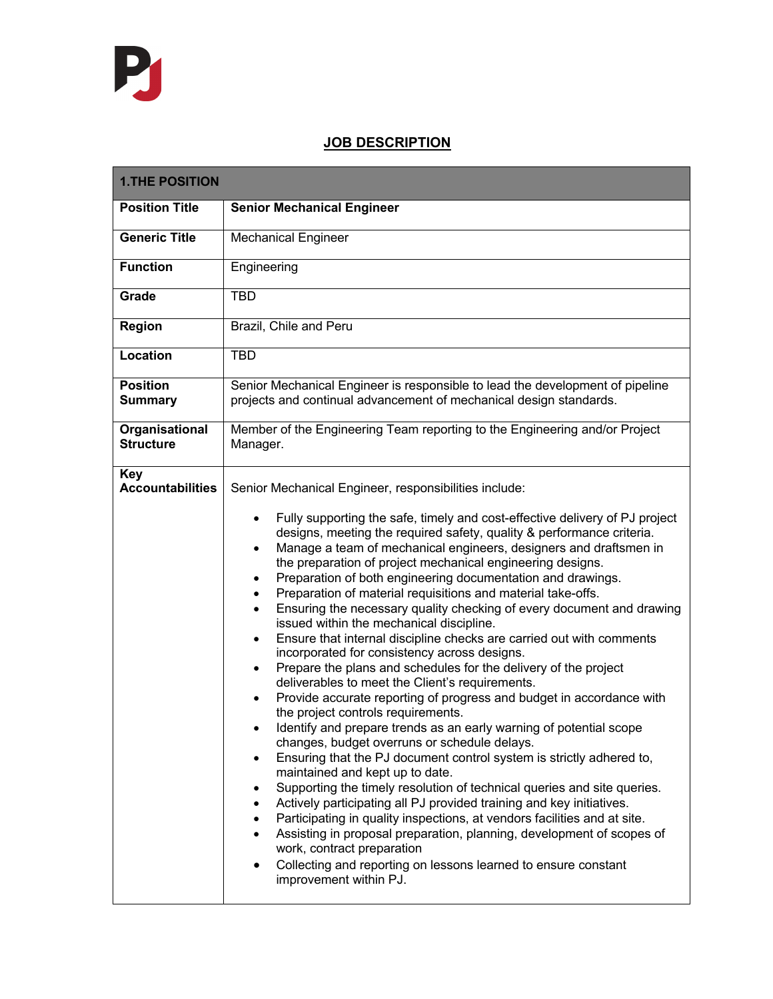## **JOB DESCRIPTION**

| <b>1.THE POSITION</b>                 |                                                                                                                                                                                                                                                                                                                                                                                                                                                                                                                                                                                                                                                                                                                                                                                                                                                                                                                                                                                                                                                                                                                                                                                                                                                                                                                                                                                                                                                                                                                                                                                                                                                                                                                                                                    |
|---------------------------------------|--------------------------------------------------------------------------------------------------------------------------------------------------------------------------------------------------------------------------------------------------------------------------------------------------------------------------------------------------------------------------------------------------------------------------------------------------------------------------------------------------------------------------------------------------------------------------------------------------------------------------------------------------------------------------------------------------------------------------------------------------------------------------------------------------------------------------------------------------------------------------------------------------------------------------------------------------------------------------------------------------------------------------------------------------------------------------------------------------------------------------------------------------------------------------------------------------------------------------------------------------------------------------------------------------------------------------------------------------------------------------------------------------------------------------------------------------------------------------------------------------------------------------------------------------------------------------------------------------------------------------------------------------------------------------------------------------------------------------------------------------------------------|
| <b>Position Title</b>                 | <b>Senior Mechanical Engineer</b>                                                                                                                                                                                                                                                                                                                                                                                                                                                                                                                                                                                                                                                                                                                                                                                                                                                                                                                                                                                                                                                                                                                                                                                                                                                                                                                                                                                                                                                                                                                                                                                                                                                                                                                                  |
| <b>Generic Title</b>                  | <b>Mechanical Engineer</b>                                                                                                                                                                                                                                                                                                                                                                                                                                                                                                                                                                                                                                                                                                                                                                                                                                                                                                                                                                                                                                                                                                                                                                                                                                                                                                                                                                                                                                                                                                                                                                                                                                                                                                                                         |
| <b>Function</b>                       | Engineering                                                                                                                                                                                                                                                                                                                                                                                                                                                                                                                                                                                                                                                                                                                                                                                                                                                                                                                                                                                                                                                                                                                                                                                                                                                                                                                                                                                                                                                                                                                                                                                                                                                                                                                                                        |
| Grade                                 | <b>TBD</b>                                                                                                                                                                                                                                                                                                                                                                                                                                                                                                                                                                                                                                                                                                                                                                                                                                                                                                                                                                                                                                                                                                                                                                                                                                                                                                                                                                                                                                                                                                                                                                                                                                                                                                                                                         |
| <b>Region</b>                         | Brazil, Chile and Peru                                                                                                                                                                                                                                                                                                                                                                                                                                                                                                                                                                                                                                                                                                                                                                                                                                                                                                                                                                                                                                                                                                                                                                                                                                                                                                                                                                                                                                                                                                                                                                                                                                                                                                                                             |
| <b>Location</b>                       | <b>TBD</b>                                                                                                                                                                                                                                                                                                                                                                                                                                                                                                                                                                                                                                                                                                                                                                                                                                                                                                                                                                                                                                                                                                                                                                                                                                                                                                                                                                                                                                                                                                                                                                                                                                                                                                                                                         |
| <b>Position</b><br><b>Summary</b>     | Senior Mechanical Engineer is responsible to lead the development of pipeline<br>projects and continual advancement of mechanical design standards.                                                                                                                                                                                                                                                                                                                                                                                                                                                                                                                                                                                                                                                                                                                                                                                                                                                                                                                                                                                                                                                                                                                                                                                                                                                                                                                                                                                                                                                                                                                                                                                                                |
| Organisational<br><b>Structure</b>    | Member of the Engineering Team reporting to the Engineering and/or Project<br>Manager.                                                                                                                                                                                                                                                                                                                                                                                                                                                                                                                                                                                                                                                                                                                                                                                                                                                                                                                                                                                                                                                                                                                                                                                                                                                                                                                                                                                                                                                                                                                                                                                                                                                                             |
| <b>Key</b><br><b>Accountabilities</b> | Senior Mechanical Engineer, responsibilities include:<br>Fully supporting the safe, timely and cost-effective delivery of PJ project<br>$\bullet$<br>designs, meeting the required safety, quality & performance criteria.<br>Manage a team of mechanical engineers, designers and draftsmen in<br>$\bullet$<br>the preparation of project mechanical engineering designs.<br>Preparation of both engineering documentation and drawings.<br>٠<br>Preparation of material requisitions and material take-offs.<br>$\bullet$<br>Ensuring the necessary quality checking of every document and drawing<br>$\bullet$<br>issued within the mechanical discipline.<br>Ensure that internal discipline checks are carried out with comments<br>$\bullet$<br>incorporated for consistency across designs.<br>Prepare the plans and schedules for the delivery of the project<br>$\bullet$<br>deliverables to meet the Client's requirements.<br>Provide accurate reporting of progress and budget in accordance with<br>$\bullet$<br>the project controls requirements.<br>Identify and prepare trends as an early warning of potential scope<br>changes, budget overruns or schedule delays.<br>Ensuring that the PJ document control system is strictly adhered to,<br>$\bullet$<br>maintained and kept up to date.<br>Supporting the timely resolution of technical queries and site queries.<br>٠<br>Actively participating all PJ provided training and key initiatives.<br>Participating in quality inspections, at vendors facilities and at site.<br>Assisting in proposal preparation, planning, development of scopes of<br>work, contract preparation<br>Collecting and reporting on lessons learned to ensure constant<br>$\bullet$<br>improvement within PJ. |